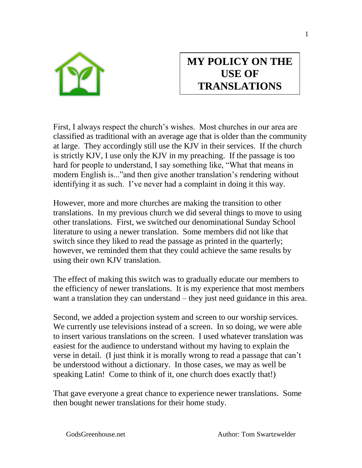

## **MY POLICY ON THE USE OF TRANSLATIONS**

First, I always respect the church's wishes. Most churches in our area are classified as traditional with an average age that is older than the community at large. They accordingly still use the KJV in their services. If the church is strictly KJV, I use only the KJV in my preaching. If the passage is too hard for people to understand, I say something like, "What that means in modern English is..."and then give another translation's rendering without identifying it as such. I've never had a complaint in doing it this way.

However, more and more churches are making the transition to other translations. In my previous church we did several things to move to using other translations. First, we switched our denominational Sunday School literature to using a newer translation. Some members did not like that switch since they liked to read the passage as printed in the quarterly; however, we reminded them that they could achieve the same results by using their own KJV translation.

The effect of making this switch was to gradually educate our members to the efficiency of newer translations. It is my experience that most members want a translation they can understand – they just need guidance in this area.

Second, we added a projection system and screen to our worship services. We currently use televisions instead of a screen. In so doing, we were able to insert various translations on the screen. I used whatever translation was easiest for the audience to understand without my having to explain the verse in detail. (I just think it is morally wrong to read a passage that can't be understood without a dictionary. In those cases, we may as well be speaking Latin! Come to think of it, one church does exactly that!)

That gave everyone a great chance to experience newer translations. Some then bought newer translations for their home study.